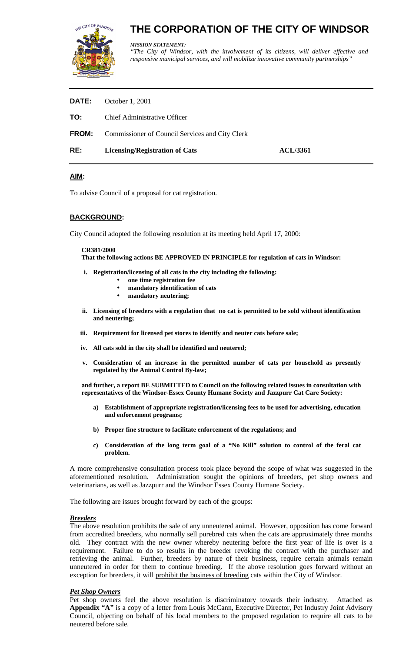

# **THE CORPORATION OF THE CITY OF WINDSOR**

*MISSION STATEMENT:*

*"The City of Windsor, with the involvement of its citizens, will deliver effective and responsive municipal services, and will mobilize innovative community partnerships"* 

| RE:          | <b>Licensing/Registration of Cats</b>           | <b>ACL/3361</b> |
|--------------|-------------------------------------------------|-----------------|
| <b>FROM:</b> | Commissioner of Council Services and City Clerk |                 |
| TO:          | <b>Chief Administrative Officer</b>             |                 |
| <b>DATE:</b> | October 1, 2001                                 |                 |

## **AIM:**

To advise Council of a proposal for cat registration.

#### **BACKGROUND:**

City Council adopted the following resolution at its meeting held April 17, 2000:

#### **CR381/2000**

**That the following actions BE APPROVED IN PRINCIPLE for regulation of cats in Windsor:**

- **i. Registration/licensing of all cats in the city including the following:**
	- **one time registration fee**
	- **mandatory identification of cats**
	- **mandatory neutering;**
- **ii. Licensing of breeders with a regulation that no cat is permitted to be sold without identification and neutering;**
- **iii. Requirement for licensed pet stores to identify and neuter cats before sale;**
- **iv. All cats sold in the city shall be identified and neutered;**
- **v. Consideration of an increase in the permitted number of cats per household as presently regulated by the Animal Control By-law;**

**and further, a report BE SUBMITTED to Council on the following related issues in consultation with representatives of the Windsor-Essex County Humane Society and Jazzpurr Cat Care Society:**

- **a) Establishment of appropriate registration/licensing fees to be used for advertising, education and enforcement programs;**
- **b) Proper fine structure to facilitate enforcement of the regulations; and**
- **c) Consideration of the long term goal of a "No Kill" solution to control of the feral cat problem.**

A more comprehensive consultation process took place beyond the scope of what was suggested in the aforementioned resolution. Administration sought the opinions of breeders, pet shop owners and veterinarians, as well as Jazzpurr and the Windsor Essex County Humane Society.

The following are issues brought forward by each of the groups:

#### *Breeders*

The above resolution prohibits the sale of any unneutered animal. However, opposition has come forward from accredited breeders, who normally sell purebred cats when the cats are approximately three months old. They contract with the new owner whereby neutering before the first year of life is over is a requirement. Failure to do so results in the breeder revoking the contract with the purchaser and retrieving the animal. Further, breeders by nature of their business, require certain animals remain unneutered in order for them to continue breeding. If the above resolution goes forward without an exception for breeders, it will prohibit the business of breeding cats within the City of Windsor.

#### *Pet Shop Owners*

Pet shop owners feel the above resolution is discriminatory towards their industry. Attached as **Appendix "A"** is a copy of a letter from Louis McCann, Executive Director, Pet Industry Joint Advisory Council, objecting on behalf of his local members to the proposed regulation to require all cats to be neutered before sale.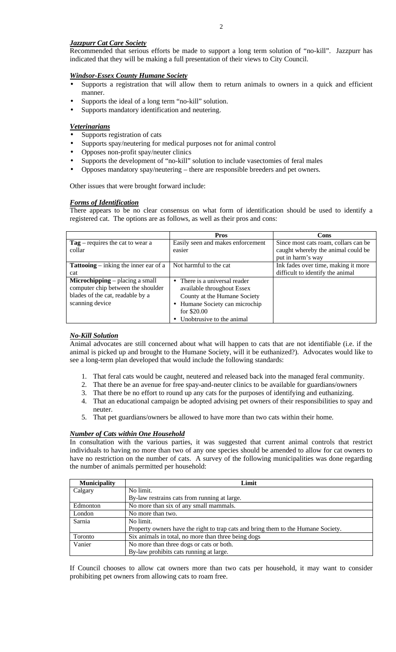#### *Jazzpurr Cat Care Society*

Recommended that serious efforts be made to support a long term solution of "no-kill". Jazzpurr has indicated that they will be making a full presentation of their views to City Council.

#### *Windsor-Essex County Humane Society*

- Supports a registration that will allow them to return animals to owners in a quick and efficient manner.
- Supports the ideal of a long term "no-kill" solution.
- Supports mandatory identification and neutering.

#### *Veterinarians*

- Supports registration of cats
- Supports spay/neutering for medical purposes not for animal control
- Opposes non-profit spay/neuter clinics
- Supports the development of "no-kill" solution to include vasectomies of feral males
- Opposes mandatory spay/neutering there are responsible breeders and pet owners.

Other issues that were brought forward include:

#### *Forms of Identification*

There appears to be no clear consensus on what form of identification should be used to identify a registered cat. The options are as follows, as well as their pros and cons:

|                                                                                                                                     | <b>Pros</b>                                                                                                                                  | Cons                                 |  |
|-------------------------------------------------------------------------------------------------------------------------------------|----------------------------------------------------------------------------------------------------------------------------------------------|--------------------------------------|--|
| $Tag$ – requires the cat to wear a                                                                                                  | Easily seen and makes enforcement                                                                                                            | Since most cats roam, collars can be |  |
| collar                                                                                                                              | easier                                                                                                                                       | caught whereby the animal could be   |  |
|                                                                                                                                     |                                                                                                                                              | put in harm's way                    |  |
| <b>Tattooing</b> – inking the inner ear of a                                                                                        | Not harmful to the cat                                                                                                                       | Ink fades over time, making it more  |  |
| cat                                                                                                                                 |                                                                                                                                              | difficult to identify the animal     |  |
| <b>Microchipping</b> – placing a small<br>computer chip between the shoulder<br>blades of the cat, readable by a<br>scanning device | • There is a universal reader<br>available throughout Essex<br>County at the Humane Society<br>• Humane Society can microchip<br>for \$20.00 |                                      |  |
|                                                                                                                                     | • Unobtrusive to the animal                                                                                                                  |                                      |  |

#### *No-Kill Solution*

Animal advocates are still concerned about what will happen to cats that are not identifiable (i.e. if the animal is picked up and brought to the Humane Society, will it be euthanized?). Advocates would like to see a long-term plan developed that would include the following standards:

- 1. That feral cats would be caught, neutered and released back into the managed feral community.
- 2. That there be an avenue for free spay-and-neuter clinics to be available for guardians/owners
- 3. That there be no effort to round up any cats for the purposes of identifying and euthanizing.
- 4. That an educational campaign be adopted advising pet owners of their responsibilities to spay and neuter.
- 5. That pet guardians/owners be allowed to have more than two cats within their home.

#### *Number of Cats within One Household*

In consultation with the various parties, it was suggested that current animal controls that restrict individuals to having no more than two of any one species should be amended to allow for cat owners to have no restriction on the number of cats. A survey of the following municipalities was done regarding the number of animals permitted per household:

| <b>Municipality</b> | Limit                                                                             |
|---------------------|-----------------------------------------------------------------------------------|
| Calgary             | No limit.                                                                         |
|                     | By-law restrains cats from running at large.                                      |
| Edmonton            | No more than six of any small mammals.                                            |
| London              | No more than two.                                                                 |
| Sarnia              | No limit.                                                                         |
|                     | Property owners have the right to trap cats and bring them to the Humane Society. |
| Toronto             | Six animals in total, no more than three being dogs                               |
| Vanier              | No more than three dogs or cats or both.                                          |
|                     | By-law prohibits cats running at large.                                           |

If Council chooses to allow cat owners more than two cats per household, it may want to consider prohibiting pet owners from allowing cats to roam free.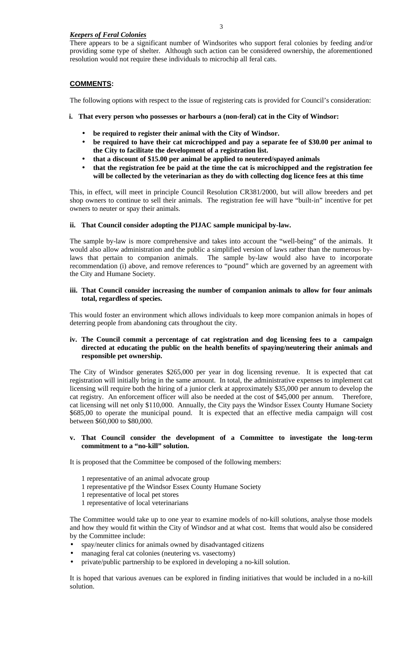## *Keepers of Feral Colonies*

There appears to be a significant number of Windsorites who support feral colonies by feeding and/or providing some type of shelter. Although such action can be considered ownership, the aforementioned resolution would not require these individuals to microchip all feral cats.

## **COMMENTS:**

The following options with respect to the issue of registering cats is provided for Council's consideration:

- **i. That every person who possesses or harbours a (non-feral) cat in the City of Windsor:**
	- **be required to register their animal with the City of Windsor.**
	- **be required to have their cat microchipped and pay a separate fee of \$30.00 per animal to the City to facilitate the development of a registration list.**
	- **that a discount of \$15.00 per animal be applied to neutered/spayed animals**
	- **that the registration fee be paid at the time the cat is microchipped and the registration fee will be collected by the veterinarian as they do with collecting dog licence fees at this time**

This, in effect, will meet in principle Council Resolution CR381/2000, but will allow breeders and pet shop owners to continue to sell their animals. The registration fee will have "built-in" incentive for pet owners to neuter or spay their animals.

#### **ii. That Council consider adopting the PIJAC sample municipal by-law.**

The sample by-law is more comprehensive and takes into account the "well-being" of the animals. It would also allow administration and the public a simplified version of laws rather than the numerous bylaws that pertain to companion animals. The sample by-law would also have to incorporate recommendation (i) above, and remove references to "pound" which are governed by an agreement with the City and Humane Society.

#### **iii. That Council consider increasing the number of companion animals to allow for four animals total, regardless of species.**

This would foster an environment which allows individuals to keep more companion animals in hopes of deterring people from abandoning cats throughout the city.

#### **iv. The Council commit a percentage of cat registration and dog licensing fees to a campaign directed at educating the public on the health benefits of spaying/neutering their animals and responsible pet ownership.**

The City of Windsor generates \$265,000 per year in dog licensing revenue. It is expected that cat registration will initially bring in the same amount. In total, the administrative expenses to implement cat licensing will require both the hiring of a junior clerk at approximately \$35,000 per annum to develop the cat registry. An enforcement officer will also be needed at the cost of \$45,000 per annum. Therefore, cat licensing will net only \$110,000. Annually, the City pays the Windsor Essex County Humane Society \$685,00 to operate the municipal pound. It is expected that an effective media campaign will cost between \$60,000 to \$80,000.

#### **v. That Council consider the development of a Committee to investigate the long-term commitment to a "no-kill" solution.**

It is proposed that the Committee be composed of the following members:

- 1 representative of an animal advocate group
- 1 representative pf the Windsor Essex County Humane Society
- 1 representative of local pet stores
- 1 representative of local veterinarians

The Committee would take up to one year to examine models of no-kill solutions, analyse those models and how they would fit within the City of Windsor and at what cost. Items that would also be considered by the Committee include:

- spay/neuter clinics for animals owned by disadvantaged citizens
- managing feral cat colonies (neutering vs. vasectomy)
- private/public partnership to be explored in developing a no-kill solution.

It is hoped that various avenues can be explored in finding initiatives that would be included in a no-kill solution.